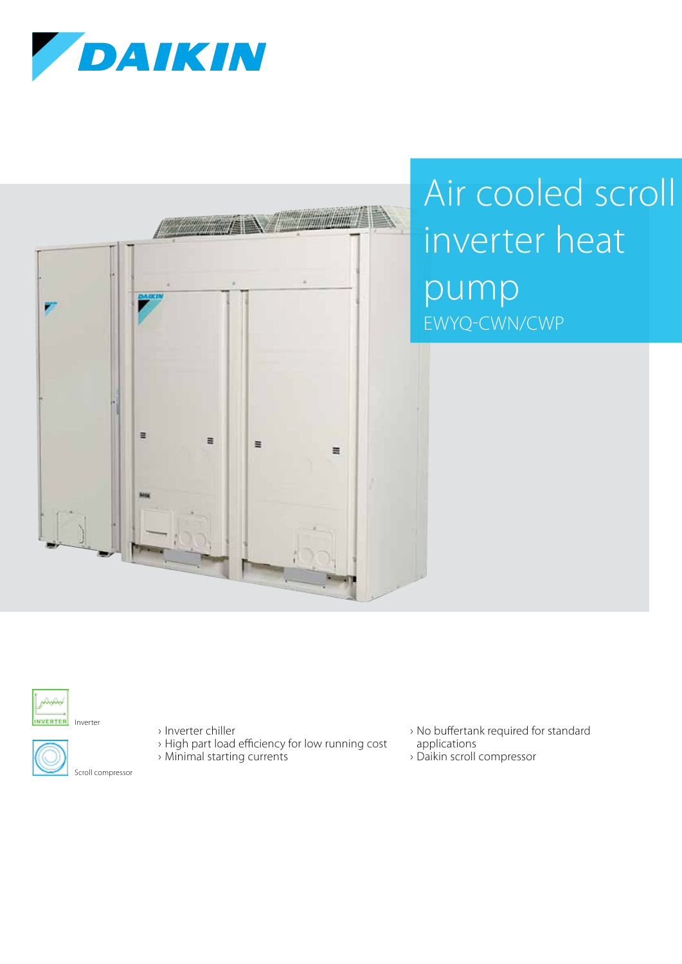



## Air cooled scroll inverter heat pump EWYQ-CWN/CWP



INVERTER Inverter



› Inverter chiller

- › High part load efficiency for low running cost
- › Minimal starting currents
- › No buffertank required for standard applications
- › Daikin scroll compressor